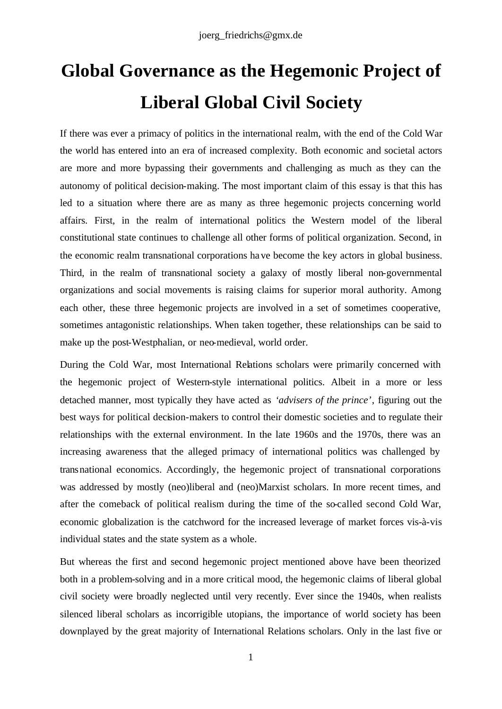# **Global Governance as the Hegemonic Project of Liberal Global Civil Society**

If there was ever a primacy of politics in the international realm, with the end of the Cold War the world has entered into an era of increased complexity. Both economic and societal actors are more and more bypassing their governments and challenging as much as they can the autonomy of political decision-making. The most important claim of this essay is that this has led to a situation where there are as many as three hegemonic projects concerning world affairs. First, in the realm of international politics the Western model of the liberal constitutional state continues to challenge all other forms of political organization. Second, in the economic realm transnational corporations have become the key actors in global business. Third, in the realm of transnational society a galaxy of mostly liberal non-governmental organizations and social movements is raising claims for superior moral authority. Among each other, these three hegemonic projects are involved in a set of sometimes cooperative, sometimes antagonistic relationships. When taken together, these relationships can be said to make up the post-Westphalian, or neo-medieval, world order.

During the Cold War, most International Relations scholars were primarily concerned with the hegemonic project of Western-style international politics. Albeit in a more or less detached manner, most typically they have acted as *'advisers of the prince'*, figuring out the best ways for political decision-makers to control their domestic societies and to regulate their relationships with the external environment. In the late 1960s and the 1970s, there was an increasing awareness that the alleged primacy of international politics was challenged by transnational economics. Accordingly, the hegemonic project of transnational corporations was addressed by mostly (neo)liberal and (neo)Marxist scholars. In more recent times, and after the comeback of political realism during the time of the so-called second Cold War, economic globalization is the catchword for the increased leverage of market forces vis-à-vis individual states and the state system as a whole.

But whereas the first and second hegemonic project mentioned above have been theorized both in a problem-solving and in a more critical mood, the hegemonic claims of liberal global civil society were broadly neglected until very recently. Ever since the 1940s, when realists silenced liberal scholars as incorrigible utopians, the importance of world society has been downplayed by the great majority of International Relations scholars. Only in the last five or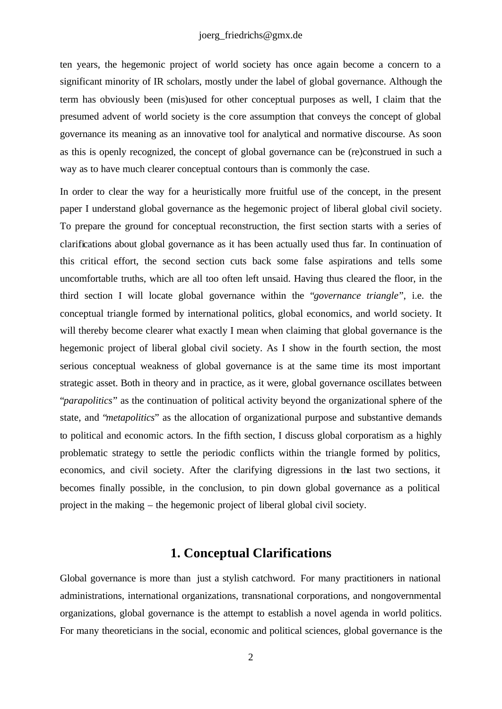ten years, the hegemonic project of world society has once again become a concern to a significant minority of IR scholars, mostly under the label of global governance. Although the term has obviously been (mis)used for other conceptual purposes as well, I claim that the presumed advent of world society is the core assumption that conveys the concept of global governance its meaning as an innovative tool for analytical and normative discourse. As soon as this is openly recognized, the concept of global governance can be (re)construed in such a way as to have much clearer conceptual contours than is commonly the case.

In order to clear the way for a heuristically more fruitful use of the concept, in the present paper I understand global governance as the hegemonic project of liberal global civil society. To prepare the ground for conceptual reconstruction, the first section starts with a series of clarifications about global governance as it has been actually used thus far. In continuation of this critical effort, the second section cuts back some false aspirations and tells some uncomfortable truths, which are all too often left unsaid. Having thus cleared the floor, in the third section I will locate global governance within the "*governance triangle*", i.e. the conceptual triangle formed by international politics, global economics, and world society. It will thereby become clearer what exactly I mean when claiming that global governance is the hegemonic project of liberal global civil society. As I show in the fourth section, the most serious conceptual weakness of global governance is at the same time its most important strategic asset. Both in theory and in practice, as it were, global governance oscillates between "*parapolitics*" as the continuation of political activity beyond the organizational sphere of the state, and "*metapolitics*" as the allocation of organizational purpose and substantive demands to political and economic actors. In the fifth section, I discuss global corporatism as a highly problematic strategy to settle the periodic conflicts within the triangle formed by politics, economics, and civil society. After the clarifying digressions in the last two sections, it becomes finally possible, in the conclusion, to pin down global governance as a political project in the making – the hegemonic project of liberal global civil society.

# **1. Conceptual Clarifications**

Global governance is more than just a stylish catchword. For many practitioners in national administrations, international organizations, transnational corporations, and nongovernmental organizations, global governance is the attempt to establish a novel agenda in world politics. For many theoreticians in the social, economic and political sciences, global governance is the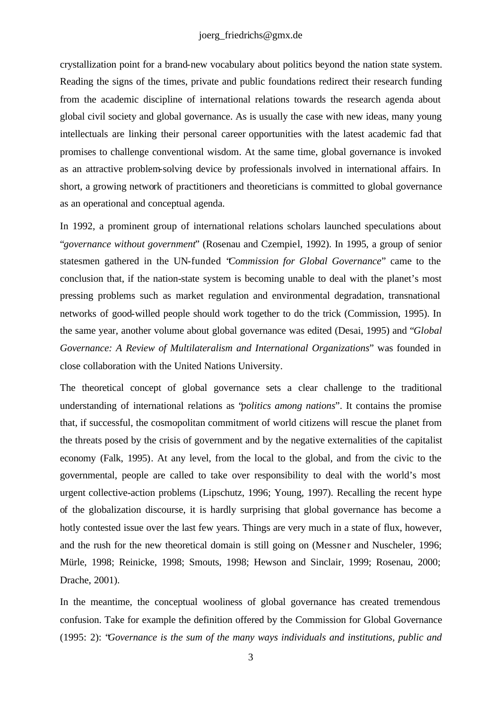#### joerg\_friedrichs@gmx.de

crystallization point for a brand-new vocabulary about politics beyond the nation state system. Reading the signs of the times, private and public foundations redirect their research funding from the academic discipline of international relations towards the research agenda about global civil society and global governance. As is usually the case with new ideas, many young intellectuals are linking their personal career opportunities with the latest academic fad that promises to challenge conventional wisdom. At the same time, global governance is invoked as an attractive problem-solving device by professionals involved in international affairs. In short, a growing network of practitioners and theoreticians is committed to global governance as an operational and conceptual agenda.

In 1992, a prominent group of international relations scholars launched speculations about "*governance without government*" (Rosenau and Czempiel, 1992). In 1995, a group of senior statesmen gathered in the UN-funded "*Commission for Global Governance*" came to the conclusion that, if the nation-state system is becoming unable to deal with the planet's most pressing problems such as market regulation and environmental degradation, transnational networks of good-willed people should work together to do the trick (Commission, 1995). In the same year, another volume about global governance was edited (Desai, 1995) and "*Global Governance: A Review of Multilateralism and International Organizations*" was founded in close collaboration with the United Nations University.

The theoretical concept of global governance sets a clear challenge to the traditional understanding of international relations as "*politics among nations*". It contains the promise that, if successful, the cosmopolitan commitment of world citizens will rescue the planet from the threats posed by the crisis of government and by the negative externalities of the capitalist economy (Falk, 1995). At any level, from the local to the global, and from the civic to the governmental, people are called to take over responsibility to deal with the world's most urgent collective-action problems (Lipschutz, 1996; Young, 1997). Recalling the recent hype of the globalization discourse, it is hardly surprising that global governance has become a hotly contested issue over the last few years. Things are very much in a state of flux, however, and the rush for the new theoretical domain is still going on (Messner and Nuscheler, 1996; Mürle, 1998; Reinicke, 1998; Smouts, 1998; Hewson and Sinclair, 1999; Rosenau, 2000; Drache, 2001).

In the meantime, the conceptual wooliness of global governance has created tremendous confusion. Take for example the definition offered by the Commission for Global Governance (1995: 2): "*Governance is the sum of the many ways individuals and institutions, public and*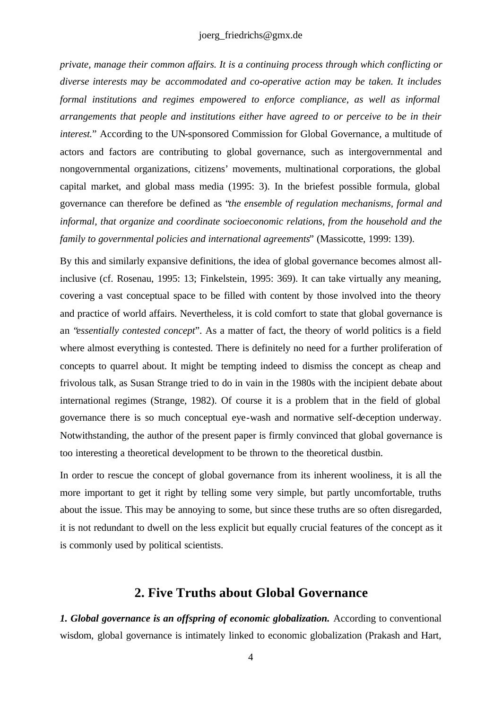*private, manage their common affairs. It is a continuing process through which conflicting or diverse interests may be accommodated and co-operative action may be taken. It includes formal institutions and regimes empowered to enforce compliance, as well as informal arrangements that people and institutions either have agreed to or perceive to be in their interest.*" According to the UN-sponsored Commission for Global Governance, a multitude of actors and factors are contributing to global governance, such as intergovernmental and nongovernmental organizations, citizens' movements, multinational corporations, the global capital market, and global mass media (1995: 3). In the briefest possible formula, global governance can therefore be defined as "*the ensemble of regulation mechanisms, formal and informal, that organize and coordinate socioeconomic relations, from the household and the family to governmental policies and international agreements*" (Massicotte, 1999: 139).

By this and similarly expansive definitions, the idea of global governance becomes almost allinclusive (cf. Rosenau, 1995: 13; Finkelstein, 1995: 369). It can take virtually any meaning, covering a vast conceptual space to be filled with content by those involved into the theory and practice of world affairs. Nevertheless, it is cold comfort to state that global governance is an "*essentially contested concept*". As a matter of fact, the theory of world politics is a field where almost everything is contested. There is definitely no need for a further proliferation of concepts to quarrel about. It might be tempting indeed to dismiss the concept as cheap and frivolous talk, as Susan Strange tried to do in vain in the 1980s with the incipient debate about international regimes (Strange, 1982). Of course it is a problem that in the field of global governance there is so much conceptual eye-wash and normative self-deception underway. Notwithstanding, the author of the present paper is firmly convinced that global governance is too interesting a theoretical development to be thrown to the theoretical dustbin.

In order to rescue the concept of global governance from its inherent wooliness, it is all the more important to get it right by telling some very simple, but partly uncomfortable, truths about the issue. This may be annoying to some, but since these truths are so often disregarded, it is not redundant to dwell on the less explicit but equally crucial features of the concept as it is commonly used by political scientists.

### **2. Five Truths about Global Governance**

*1. Global governance is an offspring of economic globalization.* According to conventional wisdom, global governance is intimately linked to economic globalization (Prakash and Hart,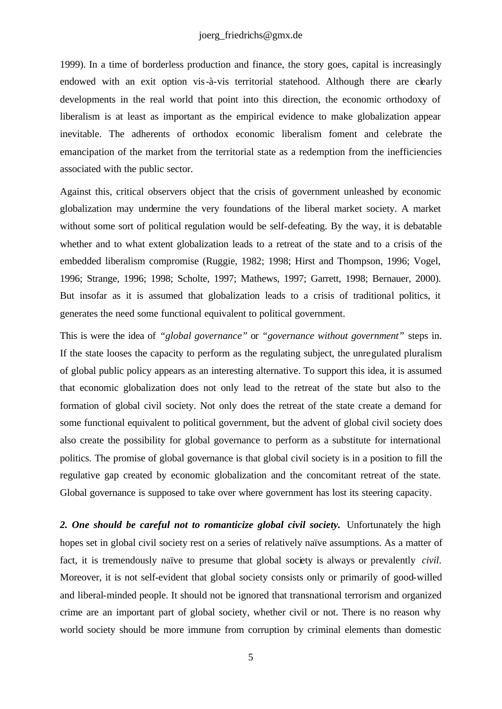#### joerg\_friedrichs@gmx.de

1999). In a time of borderless production and finance, the story goes, capital is increasingly endowed with an exit option vis-à-vis territorial statehood. Although there are clearly developments in the real world that point into this direction, the economic orthodoxy of liberalism is at least as important as the empirical evidence to make globalization appear inevitable. The adherents of orthodox economic liberalism foment and celebrate the emancipation of the market from the territorial state as a redemption from the inefficiencies associated with the public sector.

Against this, critical observers object that the crisis of government unleashed by economic globalization may undermine the very foundations of the liberal market society. A market without some sort of political regulation would be self-defeating. By the way, it is debatable whether and to what extent globalization leads to a retreat of the state and to a crisis of the embedded liberalism compromise (Ruggie, 1982; 1998; Hirst and Thompson, 1996; Vogel, 1996; Strange, 1996; 1998; Scholte, 1997; Mathews, 1997; Garrett, 1998; Bernauer, 2000). But insofar as it is assumed that globalization leads to a crisis of traditional politics, it generates the need some functional equivalent to political government.

This is were the idea of *"global governance"* or *"governance without government"* steps in. If the state looses the capacity to perform as the regulating subject, the unregulated pluralism of global public policy appears as an interesting alternative. To support this idea, it is assumed that economic globalization does not only lead to the retreat of the state but also to the formation of global civil society. Not only does the retreat of the state create a demand for some functional equivalent to political government, but the advent of global civil society does also create the possibility for global governance to perform as a substitute for international politics. The promise of global governance is that global civil society is in a position to fill the regulative gap created by economic globalization and the concomitant retreat of the state. Global governance is supposed to take over where government has lost its steering capacity.

2. One should be careful not to romanticize global civil society. Unfortunately the high hopes set in global civil society rest on a series of relatively naïve assumptions. As a matter of fact, it is tremendously naïve to presume that global society is always or prevalently *civil*. Moreover, it is not self-evident that global society consists only or primarily of good-willed and liberal-minded people. It should not be ignored that transnational terrorism and organized crime are an important part of global society, whether civil or not. There is no reason why world society should be more immune from corruption by criminal elements than domestic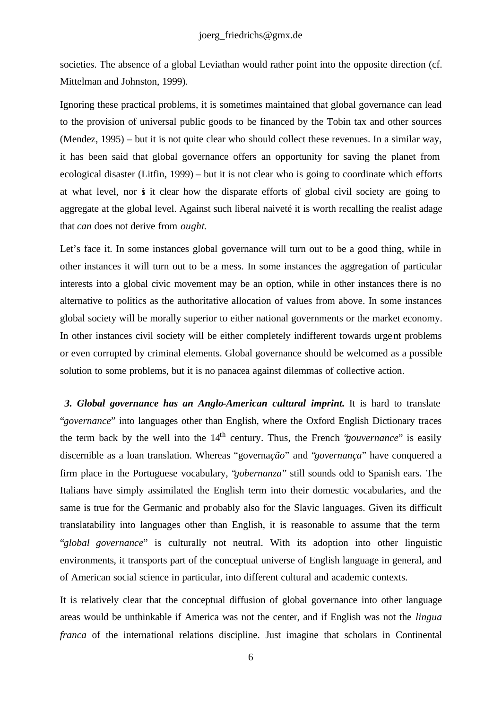societies. The absence of a global Leviathan would rather point into the opposite direction (cf. Mittelman and Johnston, 1999).

Ignoring these practical problems, it is sometimes maintained that global governance can lead to the provision of universal public goods to be financed by the Tobin tax and other sources (Mendez, 1995) – but it is not quite clear who should collect these revenues. In a similar way, it has been said that global governance offers an opportunity for saving the planet from ecological disaster (Litfin, 1999) – but it is not clear who is going to coordinate which efforts at what level, nor is it clear how the disparate efforts of global civil society are going to aggregate at the global level. Against such liberal naiveté it is worth recalling the realist adage that *can* does not derive from *ought*.

Let's face it. In some instances global governance will turn out to be a good thing, while in other instances it will turn out to be a mess. In some instances the aggregation of particular interests into a global civic movement may be an option, while in other instances there is no alternative to politics as the authoritative allocation of values from above. In some instances global society will be morally superior to either national governments or the market economy. In other instances civil society will be either completely indifferent towards urgent problems or even corrupted by criminal elements. Global governance should be welcomed as a possible solution to some problems, but it is no panacea against dilemmas of collective action.

 *3. Global governance has an Anglo-American cultural imprint.* It is hard to translate "*governance*" into languages other than English, where the Oxford English Dictionary traces the term back by the well into the  $14<sup>th</sup>$  century. Thus, the French *'gouvernance'* is easily discernible as a loan translation. Whereas "governa*ção*" and "*governança*" have conquered a firm place in the Portuguese vocabulary, "*gobernanza*" still sounds odd to Spanish ears. The Italians have simply assimilated the English term into their domestic vocabularies, and the same is true for the Germanic and probably also for the Slavic languages. Given its difficult translatability into languages other than English, it is reasonable to assume that the term "*global governance*" is culturally not neutral. With its adoption into other linguistic environments, it transports part of the conceptual universe of English language in general, and of American social science in particular, into different cultural and academic contexts.

It is relatively clear that the conceptual diffusion of global governance into other language areas would be unthinkable if America was not the center, and if English was not the *lingua franca* of the international relations discipline. Just imagine that scholars in Continental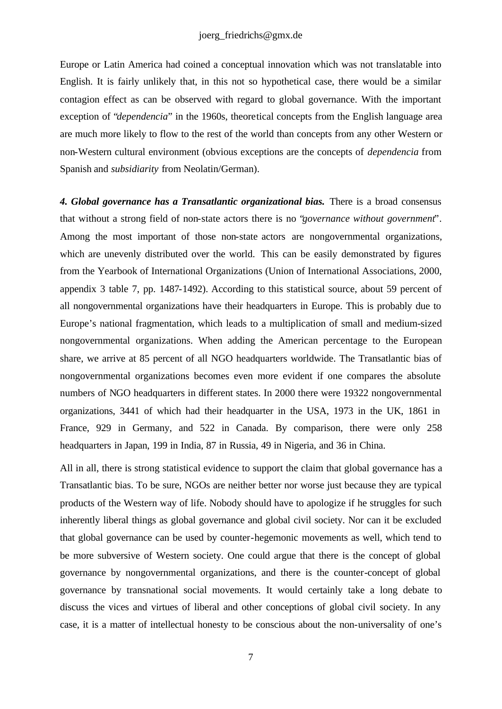#### joerg\_friedrichs@gmx.de

Europe or Latin America had coined a conceptual innovation which was not translatable into English. It is fairly unlikely that, in this not so hypothetical case, there would be a similar contagion effect as can be observed with regard to global governance. With the important exception of "*dependencia*" in the 1960s, theoretical concepts from the English language area are much more likely to flow to the rest of the world than concepts from any other Western or non-Western cultural environment (obvious exceptions are the concepts of *dependencia* from Spanish and *subsidiarity* from Neolatin/German).

*4. Global governance has a Transatlantic organizational bias.* There is a broad consensus that without a strong field of non-state actors there is no "*governance without government*". Among the most important of those non-state actors are nongovernmental organizations, which are unevenly distributed over the world. This can be easily demonstrated by figures from the Yearbook of International Organizations (Union of International Associations, 2000, appendix 3 table 7, pp. 1487-1492). According to this statistical source, about 59 percent of all nongovernmental organizations have their headquarters in Europe. This is probably due to Europe's national fragmentation, which leads to a multiplication of small and medium-sized nongovernmental organizations. When adding the American percentage to the European share, we arrive at 85 percent of all NGO headquarters worldwide. The Transatlantic bias of nongovernmental organizations becomes even more evident if one compares the absolute numbers of NGO headquarters in different states. In 2000 there were 19322 nongovernmental organizations, 3441 of which had their headquarter in the USA, 1973 in the UK, 1861 in France, 929 in Germany, and 522 in Canada. By comparison, there were only 258 headquarters in Japan, 199 in India, 87 in Russia, 49 in Nigeria, and 36 in China.

All in all, there is strong statistical evidence to support the claim that global governance has a Transatlantic bias. To be sure, NGOs are neither better nor worse just because they are typical products of the Western way of life. Nobody should have to apologize if he struggles for such inherently liberal things as global governance and global civil society. Nor can it be excluded that global governance can be used by counter-hegemonic movements as well, which tend to be more subversive of Western society. One could argue that there is the concept of global governance by nongovernmental organizations, and there is the counter-concept of global governance by transnational social movements. It would certainly take a long debate to discuss the vices and virtues of liberal and other conceptions of global civil society. In any case, it is a matter of intellectual honesty to be conscious about the non-universality of one's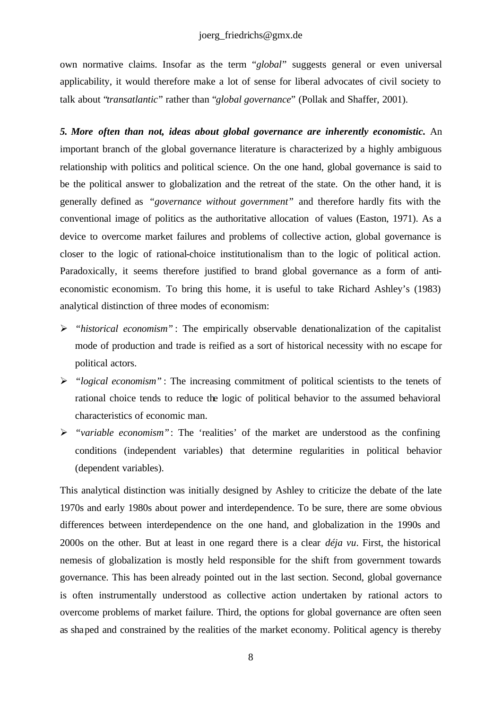own normative claims. Insofar as the term "*global*" suggests general or even universal applicability, it would therefore make a lot of sense for liberal advocates of civil society to talk about "*transatlantic*" rather than "*global governance*" (Pollak and Shaffer, 2001).

*5. More often than not, ideas about global governance are inherently economistic.* An important branch of the global governance literature is characterized by a highly ambiguous relationship with politics and political science. On the one hand, global governance is said to be the political answer to globalization and the retreat of the state. On the other hand, it is generally defined as *"governance without government"* and therefore hardly fits with the conventional image of politics as the authoritative allocation of values (Easton, 1971). As a device to overcome market failures and problems of collective action, global governance is closer to the logic of rational-choice institutionalism than to the logic of political action. Paradoxically, it seems therefore justified to brand global governance as a form of antieconomistic economism. To bring this home, it is useful to take Richard Ashley's (1983) analytical distinction of three modes of economism:

- ÿ *"historical economism"* : The empirically observable denationalization of the capitalist mode of production and trade is reified as a sort of historical necessity with no escape for political actors.
- ÿ *"logical economism"* : The increasing commitment of political scientists to the tenets of rational choice tends to reduce the logic of political behavior to the assumed behavioral characteristics of economic man.
- ÿ *"variable economism"*: The 'realities' of the market are understood as the confining conditions (independent variables) that determine regularities in political behavior (dependent variables).

This analytical distinction was initially designed by Ashley to criticize the debate of the late 1970s and early 1980s about power and interdependence. To be sure, there are some obvious differences between interdependence on the one hand, and globalization in the 1990s and 2000s on the other. But at least in one regard there is a clear *déja vu*. First, the historical nemesis of globalization is mostly held responsible for the shift from government towards governance. This has been already pointed out in the last section. Second, global governance is often instrumentally understood as collective action undertaken by rational actors to overcome problems of market failure. Third, the options for global governance are often seen as shaped and constrained by the realities of the market economy. Political agency is thereby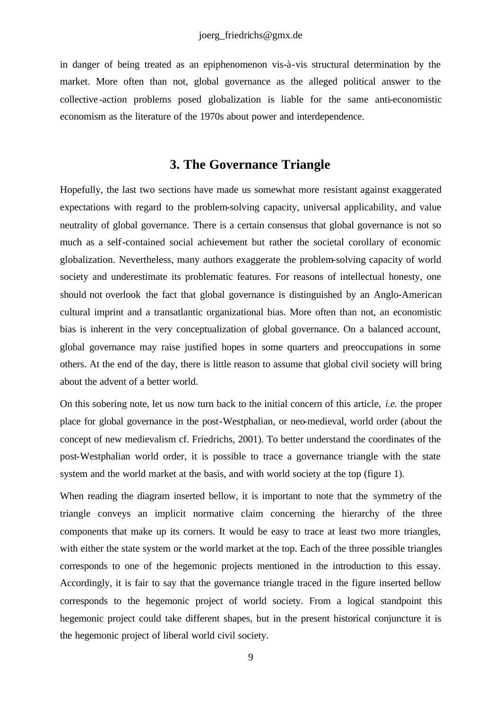in danger of being treated as an epiphenomenon vis-à-vis structural determination by the market. More often than not, global governance as the alleged political answer to the collective -action problems posed globalization is liable for the same anti-economistic economism as the literature of the 1970s about power and interdependence.

## **3. The Governance Triangle**

Hopefully, the last two sections have made us somewhat more resistant against exaggerated expectations with regard to the problem-solving capacity, universal applicability, and value neutrality of global governance. There is a certain consensus that global governance is not so much as a self-contained social achievement but rather the societal corollary of economic globalization. Nevertheless, many authors exaggerate the problem-solving capacity of world society and underestimate its problematic features. For reasons of intellectual honesty, one should not overlook the fact that global governance is distinguished by an Anglo-American cultural imprint and a transatlantic organizational bias. More often than not, an economistic bias is inherent in the very conceptualization of global governance. On a balanced account, global governance may raise justified hopes in some quarters and preoccupations in some others. At the end of the day, there is little reason to assume that global civil society will bring about the advent of a better world.

On this sobering note, let us now turn back to the initial concern of this article, *i.e.* the proper place for global governance in the post-Westphalian, or neo-medieval, world order (about the concept of new medievalism cf. Friedrichs, 2001). To better understand the coordinates of the post-Westphalian world order, it is possible to trace a governance triangle with the state system and the world market at the basis, and with world society at the top (figure 1).

When reading the diagram inserted bellow, it is important to note that the symmetry of the triangle conveys an implicit normative claim concerning the hierarchy of the three components that make up its corners. It would be easy to trace at least two more triangles, with either the state system or the world market at the top. Each of the three possible triangles corresponds to one of the hegemonic projects mentioned in the introduction to this essay. Accordingly, it is fair to say that the governance triangle traced in the figure inserted bellow corresponds to the hegemonic project of world society. From a logical standpoint this hegemonic project could take different shapes, but in the present historical conjuncture it is the hegemonic project of liberal world civil society.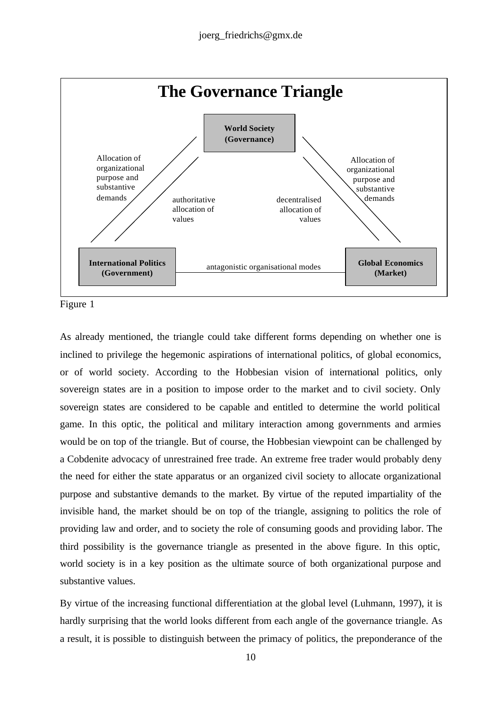

Figure 1

As already mentioned, the triangle could take different forms depending on whether one is inclined to privilege the hegemonic aspirations of international politics, of global economics, or of world society. According to the Hobbesian vision of international politics, only sovereign states are in a position to impose order to the market and to civil society. Only sovereign states are considered to be capable and entitled to determine the world political game. In this optic, the political and military interaction among governments and armies would be on top of the triangle. But of course, the Hobbesian viewpoint can be challenged by a Cobdenite advocacy of unrestrained free trade. An extreme free trader would probably deny the need for either the state apparatus or an organized civil society to allocate organizational purpose and substantive demands to the market. By virtue of the reputed impartiality of the invisible hand, the market should be on top of the triangle, assigning to politics the role of providing law and order, and to society the role of consuming goods and providing labor. The third possibility is the governance triangle as presented in the above figure. In this optic, world society is in a key position as the ultimate source of both organizational purpose and substantive values.

By virtue of the increasing functional differentiation at the global level (Luhmann, 1997), it is hardly surprising that the world looks different from each angle of the governance triangle. As a result, it is possible to distinguish between the primacy of politics, the preponderance of the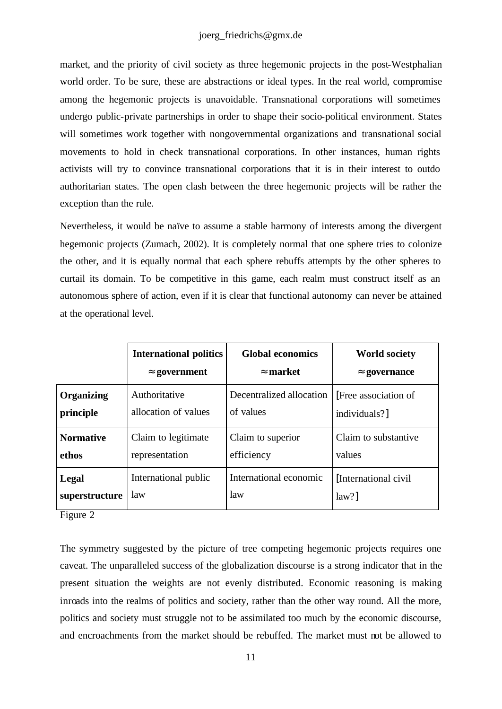#### joerg\_friedrichs@gmx.de

market, and the priority of civil society as three hegemonic projects in the post-Westphalian world order. To be sure, these are abstractions or ideal types. In the real world, compromise among the hegemonic projects is unavoidable. Transnational corporations will sometimes undergo public-private partnerships in order to shape their socio-political environment. States will sometimes work together with nongovernmental organizations and transnational social movements to hold in check transnational corporations. In other instances, human rights activists will try to convince transnational corporations that it is in their interest to outdo authoritarian states. The open clash between the three hegemonic projects will be rather the exception than the rule.

Nevertheless, it would be naïve to assume a stable harmony of interests among the divergent hegemonic projects (Zumach, 2002). It is completely normal that one sphere tries to colonize the other, and it is equally normal that each sphere rebuffs attempts by the other spheres to curtail its domain. To be competitive in this game, each realm must construct itself as an autonomous sphere of action, even if it is clear that functional autonomy can never be attained at the operational level.

|                   | <b>International politics</b> | <b>Global economics</b>  | <b>World society</b>  |
|-------------------|-------------------------------|--------------------------|-----------------------|
|                   | » government                  | » market                 | » governance          |
| <b>Organizing</b> | Authoritative                 | Decentralized allocation | [Free association of] |
| principle         | allocation of values          | of values                | individuals?]         |
| <b>Normative</b>  | Claim to legitimate           | Claim to superior        | Claim to substantive  |
| ethos             | representation                | efficiency               | values                |
| Legal             | International public          | International economic   | [International civil] |
| superstructure    | law                           | law                      | $law?$ ]              |

Figure 2

The symmetry suggested by the picture of tree competing hegemonic projects requires one caveat. The unparalleled success of the globalization discourse is a strong indicator that in the present situation the weights are not evenly distributed. Economic reasoning is making inroads into the realms of politics and society, rather than the other way round. All the more, politics and society must struggle not to be assimilated too much by the economic discourse, and encroachments from the market should be rebuffed. The market must not be allowed to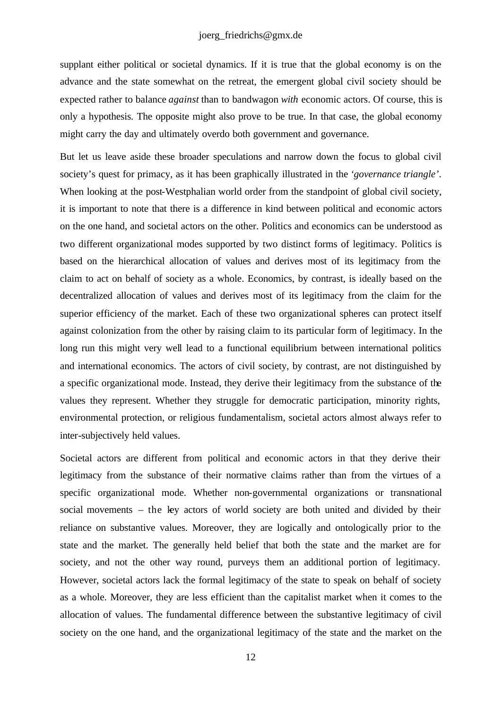supplant either political or societal dynamics. If it is true that the global economy is on the advance and the state somewhat on the retreat, the emergent global civil society should be expected rather to balance *against* than to bandwagon *with* economic actors. Of course, this is only a hypothesis. The opposite might also prove to be true. In that case, the global economy might carry the day and ultimately overdo both government and governance.

But let us leave aside these broader speculations and narrow down the focus to global civil society's quest for primacy, as it has been graphically illustrated in the *'governance triangle'*. When looking at the post-Westphalian world order from the standpoint of global civil society, it is important to note that there is a difference in kind between political and economic actors on the one hand, and societal actors on the other. Politics and economics can be understood as two different organizational modes supported by two distinct forms of legitimacy. Politics is based on the hierarchical allocation of values and derives most of its legitimacy from the claim to act on behalf of society as a whole. Economics, by contrast, is ideally based on the decentralized allocation of values and derives most of its legitimacy from the claim for the superior efficiency of the market. Each of these two organizational spheres can protect itself against colonization from the other by raising claim to its particular form of legitimacy. In the long run this might very well lead to a functional equilibrium between international politics and international economics. The actors of civil society, by contrast, are not distinguished by a specific organizational mode. Instead, they derive their legitimacy from the substance of the values they represent. Whether they struggle for democratic participation, minority rights, environmental protection, or religious fundamentalism, societal actors almost always refer to inter-subjectively held values.

Societal actors are different from political and economic actors in that they derive their legitimacy from the substance of their normative claims rather than from the virtues of a specific organizational mode. Whether non-governmental organizations or transnational social movements – the key actors of world society are both united and divided by their reliance on substantive values. Moreover, they are logically and ontologically prior to the state and the market. The generally held belief that both the state and the market are for society, and not the other way round, purveys them an additional portion of legitimacy. However, societal actors lack the formal legitimacy of the state to speak on behalf of society as a whole. Moreover, they are less efficient than the capitalist market when it comes to the allocation of values. The fundamental difference between the substantive legitimacy of civil society on the one hand, and the organizational legitimacy of the state and the market on the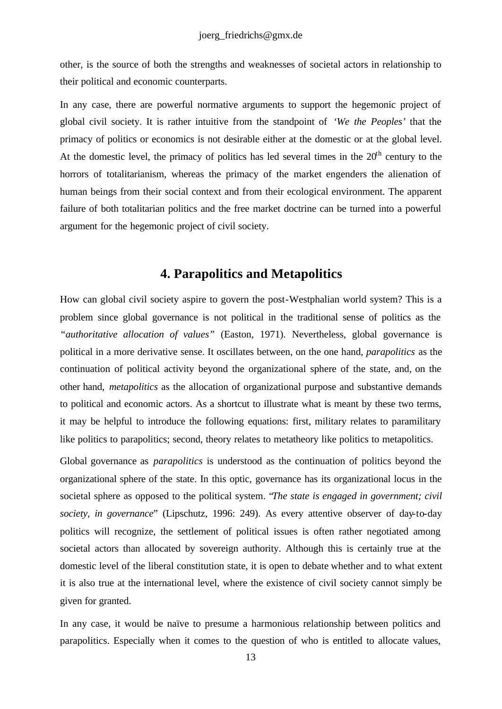other, is the source of both the strengths and weaknesses of societal actors in relationship to their political and economic counterparts.

In any case, there are powerful normative arguments to support the hegemonic project of global civil society. It is rather intuitive from the standpoint of *'We the Peoples'* that the primacy of politics or economics is not desirable either at the domestic or at the global level. At the domestic level, the primacy of politics has led several times in the  $20<sup>th</sup>$  century to the horrors of totalitarianism, whereas the primacy of the market engenders the alienation of human beings from their social context and from their ecological environment. The apparent failure of both totalitarian politics and the free market doctrine can be turned into a powerful argument for the hegemonic project of civil society.

## **4. Parapolitics and Metapolitics**

How can global civil society aspire to govern the post-Westphalian world system? This is a problem since global governance is not political in the traditional sense of politics as the *"authoritative allocation of values"* (Easton, 1971). Nevertheless, global governance is political in a more derivative sense. It oscillates between, on the one hand, *parapolitics* as the continuation of political activity beyond the organizational sphere of the state, and, on the other hand, *metapolitics* as the allocation of organizational purpose and substantive demands to political and economic actors. As a shortcut to illustrate what is meant by these two terms, it may be helpful to introduce the following equations: first, military relates to paramilitary like politics to parapolitics; second, theory relates to metatheory like politics to metapolitics.

Global governance as *parapolitics* is understood as the continuation of politics beyond the organizational sphere of the state. In this optic, governance has its organizational locus in the societal sphere as opposed to the political system. "*The state is engaged in government; civil society, in governance*" (Lipschutz, 1996: 249). As every attentive observer of day-to-day politics will recognize, the settlement of political issues is often rather negotiated among societal actors than allocated by sovereign authority. Although this is certainly true at the domestic level of the liberal constitution state, it is open to debate whether and to what extent it is also true at the international level, where the existence of civil society cannot simply be given for granted.

In any case, it would be naïve to presume a harmonious relationship between politics and parapolitics. Especially when it comes to the question of who is entitled to allocate values,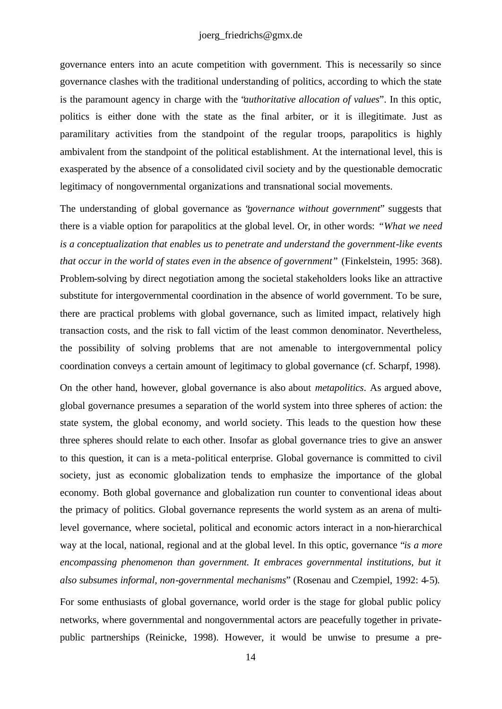governance enters into an acute competition with government. This is necessarily so since governance clashes with the traditional understanding of politics, according to which the state is the paramount agency in charge with the "*authoritative allocation of values*". In this optic, politics is either done with the state as the final arbiter, or it is illegitimate. Just as paramilitary activities from the standpoint of the regular troops, parapolitics is highly ambivalent from the standpoint of the political establishment. At the international level, this is exasperated by the absence of a consolidated civil society and by the questionable democratic legitimacy of nongovernmental organizations and transnational social movements.

The understanding of global governance as "*governance without government*" suggests that there is a viable option for parapolitics at the global level. Or, in other words: *"What we need is a conceptualization that enables us to penetrate and understand the government-like events that occur in the world of states even in the absence of government"* (Finkelstein, 1995: 368). Problem-solving by direct negotiation among the societal stakeholders looks like an attractive substitute for intergovernmental coordination in the absence of world government. To be sure, there are practical problems with global governance, such as limited impact, relatively high transaction costs, and the risk to fall victim of the least common denominator. Nevertheless, the possibility of solving problems that are not amenable to intergovernmental policy coordination conveys a certain amount of legitimacy to global governance (cf. Scharpf, 1998).

On the other hand, however, global governance is also about *metapolitics*. As argued above, global governance presumes a separation of the world system into three spheres of action: the state system, the global economy, and world society. This leads to the question how these three spheres should relate to each other. Insofar as global governance tries to give an answer to this question, it can is a meta-political enterprise. Global governance is committed to civil society, just as economic globalization tends to emphasize the importance of the global economy. Both global governance and globalization run counter to conventional ideas about the primacy of politics. Global governance represents the world system as an arena of multilevel governance, where societal, political and economic actors interact in a non-hierarchical way at the local, national, regional and at the global level. In this optic, governance "*is a more*  encompassing phenomenon than government. It embraces governmental institutions, but it *also subsumes informal, non-governmental mechanisms*" (Rosenau and Czempiel, 1992: 4-5).

For some enthusiasts of global governance, world order is the stage for global public policy networks, where governmental and nongovernmental actors are peacefully together in privatepublic partnerships (Reinicke, 1998). However, it would be unwise to presume a pre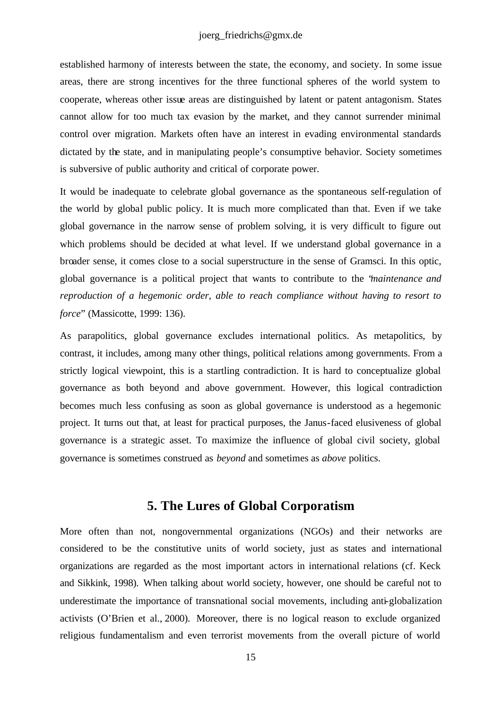established harmony of interests between the state, the economy, and society. In some issue areas, there are strong incentives for the three functional spheres of the world system to cooperate, whereas other issue areas are distinguished by latent or patent antagonism. States cannot allow for too much tax evasion by the market, and they cannot surrender minimal control over migration. Markets often have an interest in evading environmental standards dictated by the state, and in manipulating people's consumptive behavior. Society sometimes is subversive of public authority and critical of corporate power.

It would be inadequate to celebrate global governance as the spontaneous self-regulation of the world by global public policy. It is much more complicated than that. Even if we take global governance in the narrow sense of problem solving, it is very difficult to figure out which problems should be decided at what level. If we understand global governance in a broader sense, it comes close to a social superstructure in the sense of Gramsci. In this optic, global governance is a political project that wants to contribute to the "*maintenance and reproduction of a hegemonic order, able to reach compliance without having to resort to force*" (Massicotte, 1999: 136).

As parapolitics, global governance excludes international politics. As metapolitics, by contrast, it includes, among many other things, political relations among governments. From a strictly logical viewpoint, this is a startling contradiction. It is hard to conceptualize global governance as both beyond and above government. However, this logical contradiction becomes much less confusing as soon as global governance is understood as a hegemonic project. It turns out that, at least for practical purposes, the Janus-faced elusiveness of global governance is a strategic asset. To maximize the influence of global civil society, global governance is sometimes construed as *beyond* and sometimes as *above* politics.

# **5. The Lures of Global Corporatism**

More often than not, nongovernmental organizations (NGOs) and their networks are considered to be the constitutive units of world society, just as states and international organizations are regarded as the most important actors in international relations (cf. Keck and Sikkink, 1998). When talking about world society, however, one should be careful not to underestimate the importance of transnational social movements, including anti-globalization activists (O'Brien et al., 2000). Moreover, there is no logical reason to exclude organized religious fundamentalism and even terrorist movements from the overall picture of world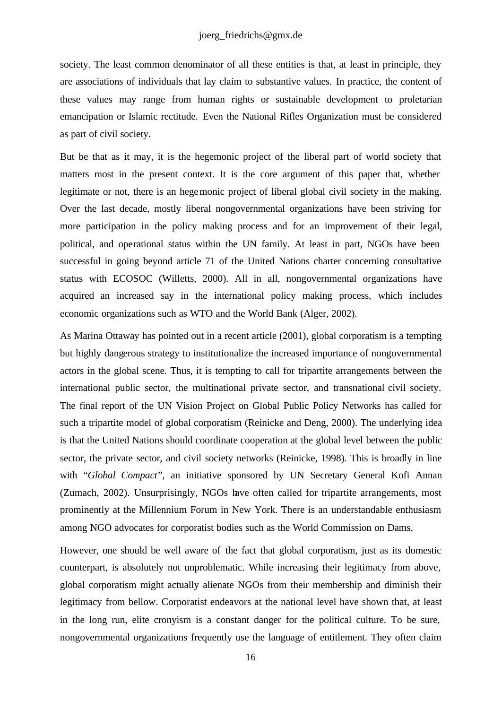society. The least common denominator of all these entities is that, at least in principle, they are associations of individuals that lay claim to substantive values. In practice, the content of these values may range from human rights or sustainable development to proletarian emancipation or Islamic rectitude. Even the National Rifles Organization must be considered as part of civil society.

But be that as it may, it is the hegemonic project of the liberal part of world society that matters most in the present context. It is the core argument of this paper that, whether legitimate or not, there is an hegemonic project of liberal global civil society in the making. Over the last decade, mostly liberal nongovernmental organizations have been striving for more participation in the policy making process and for an improvement of their legal, political, and operational status within the UN family. At least in part, NGOs have been successful in going beyond article 71 of the United Nations charter concerning consultative status with ECOSOC (Willetts, 2000). All in all, nongovernmental organizations have acquired an increased say in the international policy making process, which includes economic organizations such as WTO and the World Bank (Alger, 2002).

As Marina Ottaway has pointed out in a recent article (2001), global corporatism is a tempting but highly dangerous strategy to institutionalize the increased importance of nongovernmental actors in the global scene. Thus, it is tempting to call for tripartite arrangements between the international public sector, the multinational private sector, and transnational civil society. The final report of the UN Vision Project on Global Public Policy Networks has called for such a tripartite model of global corporatism (Reinicke and Deng, 2000). The underlying idea is that the United Nations should coordinate cooperation at the global level between the public sector, the private sector, and civil society networks (Reinicke, 1998). This is broadly in line with "*Global Compact*", an initiative sponsored by UN Secretary General Kofi Annan (Zumach, 2002). Unsurprisingly, NGOs have often called for tripartite arrangements, most prominently at the Millennium Forum in New York. There is an understandable enthusiasm among NGO advocates for corporatist bodies such as the World Commission on Dams.

However, one should be well aware of the fact that global corporatism, just as its domestic counterpart, is absolutely not unproblematic. While increasing their legitimacy from above, global corporatism might actually alienate NGOs from their membership and diminish their legitimacy from bellow. Corporatist endeavors at the national level have shown that, at least in the long run, elite cronyism is a constant danger for the political culture. To be sure, nongovernmental organizations frequently use the language of entitlement. They often claim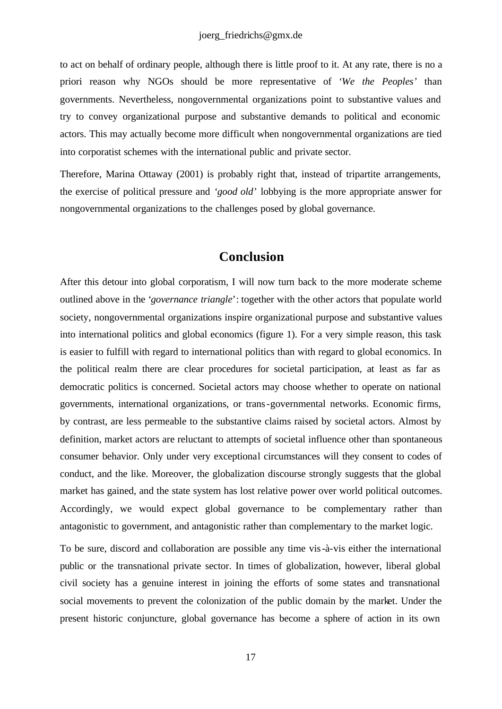to act on behalf of ordinary people, although there is little proof to it. At any rate, there is no a priori reason why NGOs should be more representative of *'We the Peoples'* than governments. Nevertheless, nongovernmental organizations point to substantive values and try to convey organizational purpose and substantive demands to political and economic actors. This may actually become more difficult when nongovernmental organizations are tied into corporatist schemes with the international public and private sector.

Therefore, Marina Ottaway (2001) is probably right that, instead of tripartite arrangements, the exercise of political pressure and *'good old*' lobbying is the more appropriate answer for nongovernmental organizations to the challenges posed by global governance.

#### **Conclusion**

After this detour into global corporatism, I will now turn back to the more moderate scheme outlined above in the '*governance triangle*': together with the other actors that populate world society, nongovernmental organizations inspire organizational purpose and substantive values into international politics and global economics (figure 1). For a very simple reason, this task is easier to fulfill with regard to international politics than with regard to global economics. In the political realm there are clear procedures for societal participation, at least as far as democratic politics is concerned. Societal actors may choose whether to operate on national governments, international organizations, or trans-governmental networks. Economic firms, by contrast, are less permeable to the substantive claims raised by societal actors. Almost by definition, market actors are reluctant to attempts of societal influence other than spontaneous consumer behavior. Only under very exceptional circumstances will they consent to codes of conduct, and the like. Moreover, the globalization discourse strongly suggests that the global market has gained, and the state system has lost relative power over world political outcomes. Accordingly, we would expect global governance to be complementary rather than antagonistic to government, and antagonistic rather than complementary to the market logic.

To be sure, discord and collaboration are possible any time vis-à-vis either the international public or the transnational private sector. In times of globalization, however, liberal global civil society has a genuine interest in joining the efforts of some states and transnational social movements to prevent the colonization of the public domain by the market. Under the present historic conjuncture, global governance has become a sphere of action in its own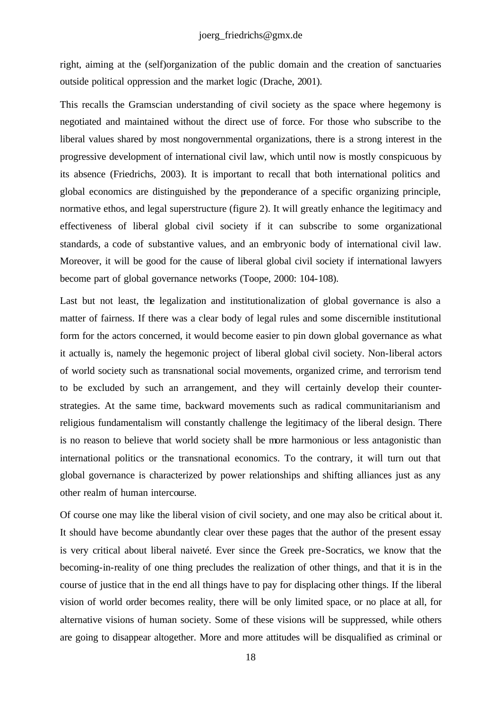right, aiming at the (self)organization of the public domain and the creation of sanctuaries outside political oppression and the market logic (Drache, 2001).

This recalls the Gramscian understanding of civil society as the space where hegemony is negotiated and maintained without the direct use of force. For those who subscribe to the liberal values shared by most nongovernmental organizations, there is a strong interest in the progressive development of international civil law, which until now is mostly conspicuous by its absence (Friedrichs, 2003). It is important to recall that both international politics and global economics are distinguished by the preponderance of a specific organizing principle, normative ethos, and legal superstructure (figure 2). It will greatly enhance the legitimacy and effectiveness of liberal global civil society if it can subscribe to some organizational standards, a code of substantive values, and an embryonic body of international civil law. Moreover, it will be good for the cause of liberal global civil society if international lawyers become part of global governance networks (Toope, 2000: 104-108).

Last but not least, the legalization and institutionalization of global governance is also a matter of fairness. If there was a clear body of legal rules and some discernible institutional form for the actors concerned, it would become easier to pin down global governance as what it actually is, namely the hegemonic project of liberal global civil society. Non-liberal actors of world society such as transnational social movements, organized crime, and terrorism tend to be excluded by such an arrangement, and they will certainly develop their counterstrategies. At the same time, backward movements such as radical communitarianism and religious fundamentalism will constantly challenge the legitimacy of the liberal design. There is no reason to believe that world society shall be more harmonious or less antagonistic than international politics or the transnational economics. To the contrary, it will turn out that global governance is characterized by power relationships and shifting alliances just as any other realm of human intercourse.

Of course one may like the liberal vision of civil society, and one may also be critical about it. It should have become abundantly clear over these pages that the author of the present essay is very critical about liberal naiveté. Ever since the Greek pre-Socratics, we know that the becoming-in-reality of one thing precludes the realization of other things, and that it is in the course of justice that in the end all things have to pay for displacing other things. If the liberal vision of world order becomes reality, there will be only limited space, or no place at all, for alternative visions of human society. Some of these visions will be suppressed, while others are going to disappear altogether. More and more attitudes will be disqualified as criminal or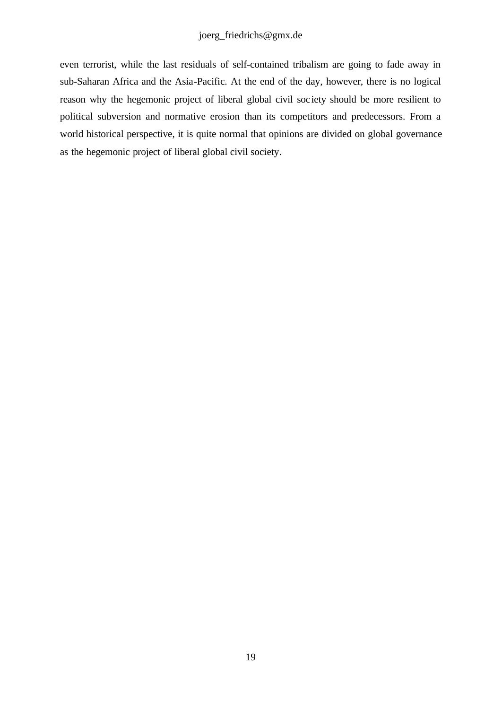even terrorist, while the last residuals of self-contained tribalism are going to fade away in sub-Saharan Africa and the Asia-Pacific. At the end of the day, however, there is no logical reason why the hegemonic project of liberal global civil soc iety should be more resilient to political subversion and normative erosion than its competitors and predecessors. From a world historical perspective, it is quite normal that opinions are divided on global governance as the hegemonic project of liberal global civil society.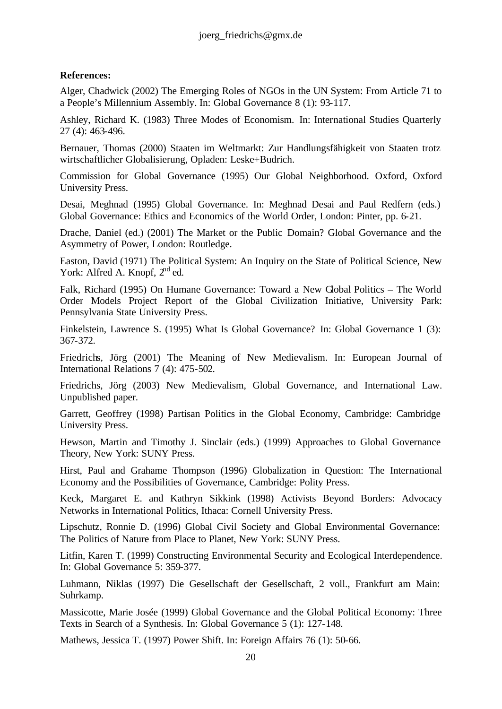#### **References:**

Alger, Chadwick (2002) The Emerging Roles of NGOs in the UN System: From Article 71 to a People's Millennium Assembly. In: Global Governance 8 (1): 93-117.

Ashley, Richard K. (1983) Three Modes of Economism. In: International Studies Quarterly 27 (4): 463-496.

Bernauer, Thomas (2000) Staaten im Weltmarkt: Zur Handlungsfähigkeit von Staaten trotz wirtschaftlicher Globalisierung, Opladen: Leske+Budrich.

Commission for Global Governance (1995) Our Global Neighborhood. Oxford, Oxford University Press.

Desai, Meghnad (1995) Global Governance. In: Meghnad Desai and Paul Redfern (eds.) Global Governance: Ethics and Economics of the World Order, London: Pinter, pp. 6-21.

Drache, Daniel (ed.) (2001) The Market or the Public Domain? Global Governance and the Asymmetry of Power, London: Routledge.

Easton, David (1971) The Political System: An Inquiry on the State of Political Science, New York: Alfred A. Knopf,  $2<sup>nd</sup>$  ed.

Falk, Richard (1995) On Humane Governance: Toward a New Global Politics - The World Order Models Project Report of the Global Civilization Initiative, University Park: Pennsylvania State University Press.

Finkelstein, Lawrence S. (1995) What Is Global Governance? In: Global Governance 1 (3): 367-372.

Friedrichs, Jörg (2001) The Meaning of New Medievalism. In: European Journal of International Relations 7 (4): 475-502.

Friedrichs, Jörg (2003) New Medievalism, Global Governance, and International Law. Unpublished paper.

Garrett, Geoffrey (1998) Partisan Politics in the Global Economy, Cambridge: Cambridge University Press.

Hewson, Martin and Timothy J. Sinclair (eds.) (1999) Approaches to Global Governance Theory, New York: SUNY Press.

Hirst, Paul and Grahame Thompson (1996) Globalization in Question: The International Economy and the Possibilities of Governance, Cambridge: Polity Press.

Keck, Margaret E. and Kathryn Sikkink (1998) Activists Beyond Borders: Advocacy Networks in International Politics, Ithaca: Cornell University Press.

Lipschutz, Ronnie D. (1996) Global Civil Society and Global Environmental Governance: The Politics of Nature from Place to Planet, New York: SUNY Press.

Litfin, Karen T. (1999) Constructing Environmental Security and Ecological Interdependence. In: Global Governance 5: 359-377.

Luhmann, Niklas (1997) Die Gesellschaft der Gesellschaft, 2 voll., Frankfurt am Main: Suhrkamp.

Massicotte, Marie Josée (1999) Global Governance and the Global Political Economy: Three Texts in Search of a Synthesis. In: Global Governance 5 (1): 127-148.

Mathews, Jessica T. (1997) Power Shift. In: Foreign Affairs 76 (1): 50-66.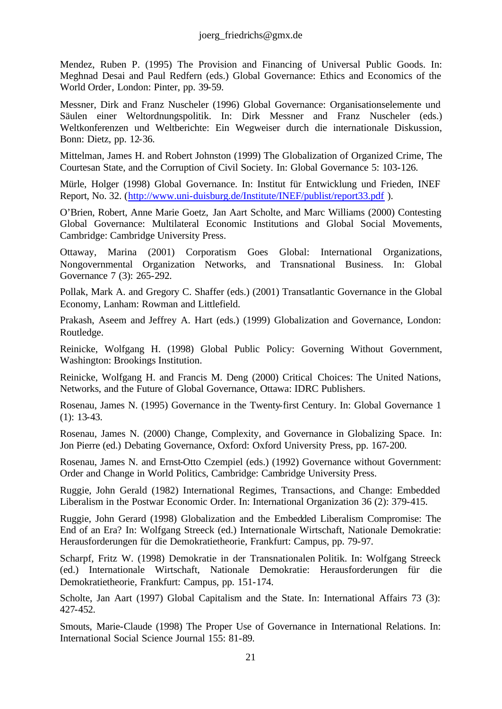Mendez, Ruben P. (1995) The Provision and Financing of Universal Public Goods. In: Meghnad Desai and Paul Redfern (eds.) Global Governance: Ethics and Economics of the World Order, London: Pinter, pp. 39-59.

Messner, Dirk and Franz Nuscheler (1996) Global Governance: Organisationselemente und Säulen einer Weltordnungspolitik. In: Dirk Messner and Franz Nuscheler (eds.) Weltkonferenzen und Weltberichte: Ein Wegweiser durch die internationale Diskussion, Bonn: Dietz, pp. 12-36.

Mittelman, James H. and Robert Johnston (1999) The Globalization of Organized Crime, The Courtesan State, and the Corruption of Civil Society. In: Global Governance 5: 103-126.

Mürle, Holger (1998) Global Governance. In: Institut für Entwicklung und Frieden, INEF Report, No. 32. (http://www.uni-duisburg.de/Institute/INEF/publist/report33.pdf ).

O'Brien, Robert, Anne Marie Goetz, Jan Aart Scholte, and Marc Williams (2000) Contesting Global Governance: Multilateral Economic Institutions and Global Social Movements, Cambridge: Cambridge University Press.

Ottaway, Marina (2001) Corporatism Goes Global: International Organizations, Nongovernmental Organization Networks, and Transnational Business. In: Global Governance 7 (3): 265-292.

Pollak, Mark A. and Gregory C. Shaffer (eds.) (2001) Transatlantic Governance in the Global Economy, Lanham: Rowman and Littlefield.

Prakash, Aseem and Jeffrey A. Hart (eds.) (1999) Globalization and Governance, London: Routledge.

Reinicke, Wolfgang H. (1998) Global Public Policy: Governing Without Government, Washington: Brookings Institution.

Reinicke, Wolfgang H. and Francis M. Deng (2000) Critical Choices: The United Nations, Networks, and the Future of Global Governance, Ottawa: IDRC Publishers.

Rosenau, James N. (1995) Governance in the Twenty-first Century. In: Global Governance 1 (1): 13-43.

Rosenau, James N. (2000) Change, Complexity, and Governance in Globalizing Space. In: Jon Pierre (ed.) Debating Governance, Oxford: Oxford University Press, pp. 167-200.

Rosenau, James N. and Ernst-Otto Czempiel (eds.) (1992) Governance without Government: Order and Change in World Politics, Cambridge: Cambridge University Press.

Ruggie, John Gerald (1982) International Regimes, Transactions, and Change: Embedded Liberalism in the Postwar Economic Order. In: International Organization 36 (2): 379-415.

Ruggie, John Gerard (1998) Globalization and the Embedded Liberalism Compromise: The End of an Era? In: Wolfgang Streeck (ed.) Internationale Wirtschaft, Nationale Demokratie: Herausforderungen für die Demokratietheorie, Frankfurt: Campus, pp. 79-97.

Scharpf, Fritz W. (1998) Demokratie in der Transnationalen Politik. In: Wolfgang Streeck (ed.) Internationale Wirtschaft, Nationale Demokratie: Herausforderungen für die Demokratietheorie, Frankfurt: Campus, pp. 151-174.

Scholte, Jan Aart (1997) Global Capitalism and the State. In: International Affairs 73 (3): 427-452.

Smouts, Marie-Claude (1998) The Proper Use of Governance in International Relations. In: International Social Science Journal 155: 81-89.